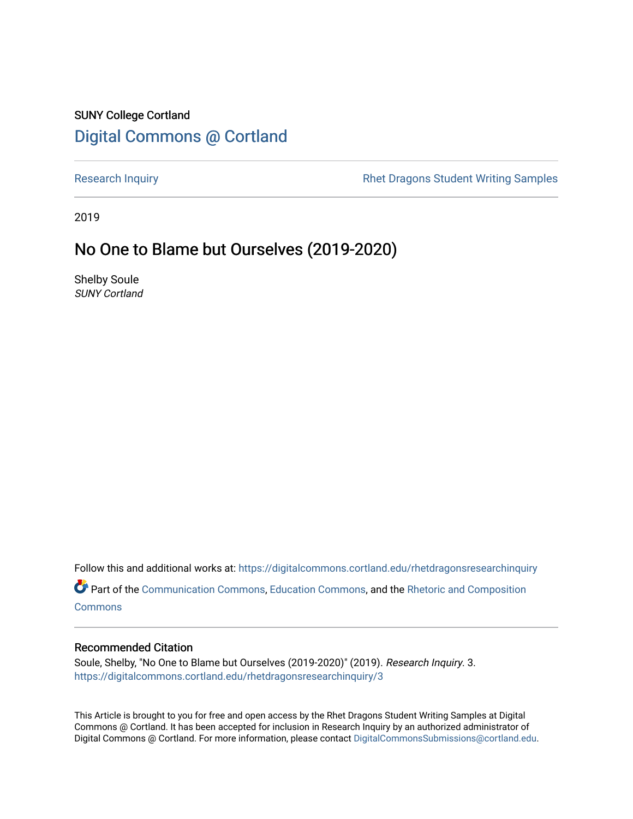## SUNY College Cortland [Digital Commons @ Cortland](https://digitalcommons.cortland.edu/)

[Research Inquiry](https://digitalcommons.cortland.edu/rhetdragonsresearchinquiry) **Research Inquiry** Research Inquiry **Rhet Dragons Student Writing Samples** 

2019

### No One to Blame but Ourselves (2019-2020)

Shelby Soule SUNY Cortland

Follow this and additional works at: [https://digitalcommons.cortland.edu/rhetdragonsresearchinquiry](https://digitalcommons.cortland.edu/rhetdragonsresearchinquiry?utm_source=digitalcommons.cortland.edu%2Frhetdragonsresearchinquiry%2F3&utm_medium=PDF&utm_campaign=PDFCoverPages) Part of the [Communication Commons,](http://network.bepress.com/hgg/discipline/325?utm_source=digitalcommons.cortland.edu%2Frhetdragonsresearchinquiry%2F3&utm_medium=PDF&utm_campaign=PDFCoverPages) [Education Commons,](http://network.bepress.com/hgg/discipline/784?utm_source=digitalcommons.cortland.edu%2Frhetdragonsresearchinquiry%2F3&utm_medium=PDF&utm_campaign=PDFCoverPages) and the [Rhetoric and Composition](http://network.bepress.com/hgg/discipline/573?utm_source=digitalcommons.cortland.edu%2Frhetdragonsresearchinquiry%2F3&utm_medium=PDF&utm_campaign=PDFCoverPages)

**[Commons](http://network.bepress.com/hgg/discipline/573?utm_source=digitalcommons.cortland.edu%2Frhetdragonsresearchinquiry%2F3&utm_medium=PDF&utm_campaign=PDFCoverPages)** 

#### Recommended Citation

Soule, Shelby, "No One to Blame but Ourselves (2019-2020)" (2019). Research Inquiry. 3. [https://digitalcommons.cortland.edu/rhetdragonsresearchinquiry/3](https://digitalcommons.cortland.edu/rhetdragonsresearchinquiry/3?utm_source=digitalcommons.cortland.edu%2Frhetdragonsresearchinquiry%2F3&utm_medium=PDF&utm_campaign=PDFCoverPages) 

This Article is brought to you for free and open access by the Rhet Dragons Student Writing Samples at Digital Commons @ Cortland. It has been accepted for inclusion in Research Inquiry by an authorized administrator of Digital Commons @ Cortland. For more information, please contact [DigitalCommonsSubmissions@cortland.edu](mailto:DigitalCommonsSubmissions@cortland.edu).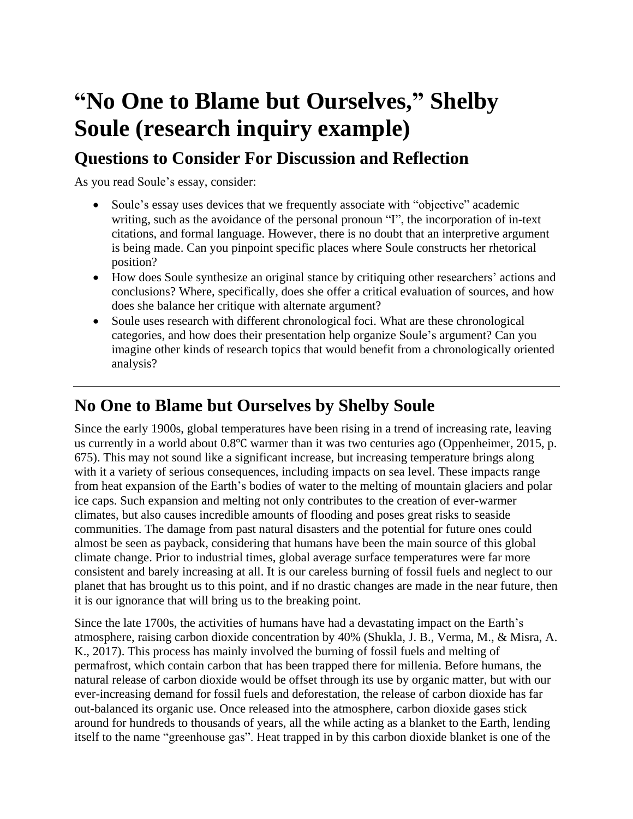# **"No One to Blame but Ourselves," Shelby Soule (research inquiry example)**

# **Questions to Consider For Discussion and Reflection**

As you read Soule's essay, consider:

- Soule's essay uses devices that we frequently associate with "objective" academic writing, such as the avoidance of the personal pronoun "I", the incorporation of in-text citations, and formal language. However, there is no doubt that an interpretive argument is being made. Can you pinpoint specific places where Soule constructs her rhetorical position?
- How does Soule synthesize an original stance by critiquing other researchers' actions and conclusions? Where, specifically, does she offer a critical evaluation of sources, and how does she balance her critique with alternate argument?
- Soule uses research with different chronological foci. What are these chronological categories, and how does their presentation help organize Soule's argument? Can you imagine other kinds of research topics that would benefit from a chronologically oriented analysis?

# **No One to Blame but Ourselves by Shelby Soule**

Since the early 1900s, global temperatures have been rising in a trend of increasing rate, leaving us currently in a world about 0.8℃ warmer than it was two centuries ago (Oppenheimer, 2015, p. 675). This may not sound like a significant increase, but increasing temperature brings along with it a variety of serious consequences, including impacts on sea level. These impacts range from heat expansion of the Earth's bodies of water to the melting of mountain glaciers and polar ice caps. Such expansion and melting not only contributes to the creation of ever-warmer climates, but also causes incredible amounts of flooding and poses great risks to seaside communities. The damage from past natural disasters and the potential for future ones could almost be seen as payback, considering that humans have been the main source of this global climate change. Prior to industrial times, global average surface temperatures were far more consistent and barely increasing at all. It is our careless burning of fossil fuels and neglect to our planet that has brought us to this point, and if no drastic changes are made in the near future, then it is our ignorance that will bring us to the breaking point.

Since the late 1700s, the activities of humans have had a devastating impact on the Earth's atmosphere, raising carbon dioxide concentration by 40% (Shukla, J. B., Verma, M., & Misra, A. K., 2017). This process has mainly involved the burning of fossil fuels and melting of permafrost, which contain carbon that has been trapped there for millenia. Before humans, the natural release of carbon dioxide would be offset through its use by organic matter, but with our ever-increasing demand for fossil fuels and deforestation, the release of carbon dioxide has far out-balanced its organic use. Once released into the atmosphere, carbon dioxide gases stick around for hundreds to thousands of years, all the while acting as a blanket to the Earth, lending itself to the name "greenhouse gas". Heat trapped in by this carbon dioxide blanket is one of the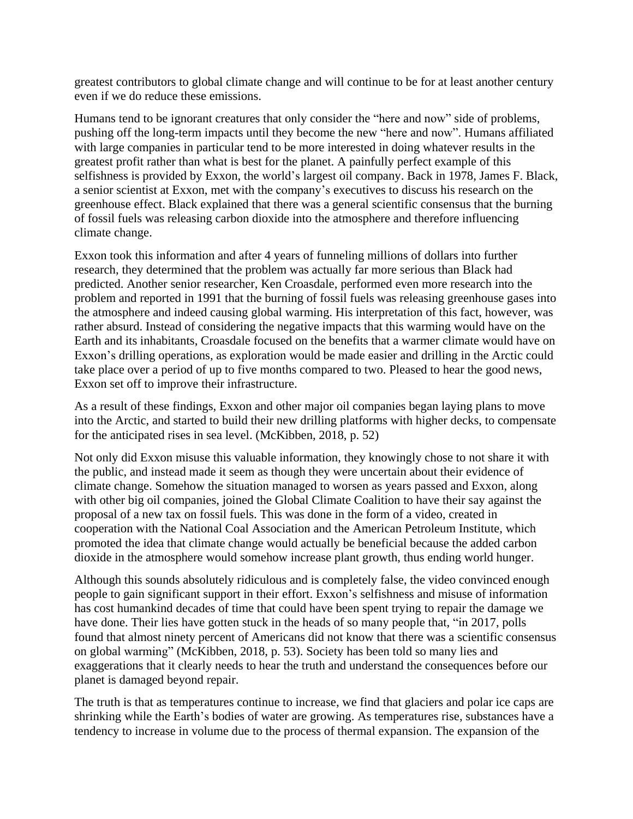greatest contributors to global climate change and will continue to be for at least another century even if we do reduce these emissions.

Humans tend to be ignorant creatures that only consider the "here and now" side of problems, pushing off the long-term impacts until they become the new "here and now". Humans affiliated with large companies in particular tend to be more interested in doing whatever results in the greatest profit rather than what is best for the planet. A painfully perfect example of this selfishness is provided by Exxon, the world's largest oil company. Back in 1978, James F. Black, a senior scientist at Exxon, met with the company's executives to discuss his research on the greenhouse effect. Black explained that there was a general scientific consensus that the burning of fossil fuels was releasing carbon dioxide into the atmosphere and therefore influencing climate change.

Exxon took this information and after 4 years of funneling millions of dollars into further research, they determined that the problem was actually far more serious than Black had predicted. Another senior researcher, Ken Croasdale, performed even more research into the problem and reported in 1991 that the burning of fossil fuels was releasing greenhouse gases into the atmosphere and indeed causing global warming. His interpretation of this fact, however, was rather absurd. Instead of considering the negative impacts that this warming would have on the Earth and its inhabitants, Croasdale focused on the benefits that a warmer climate would have on Exxon's drilling operations, as exploration would be made easier and drilling in the Arctic could take place over a period of up to five months compared to two. Pleased to hear the good news, Exxon set off to improve their infrastructure.

As a result of these findings, Exxon and other major oil companies began laying plans to move into the Arctic, and started to build their new drilling platforms with higher decks, to compensate for the anticipated rises in sea level. (McKibben, 2018, p. 52)

Not only did Exxon misuse this valuable information, they knowingly chose to not share it with the public, and instead made it seem as though they were uncertain about their evidence of climate change. Somehow the situation managed to worsen as years passed and Exxon, along with other big oil companies, joined the Global Climate Coalition to have their say against the proposal of a new tax on fossil fuels. This was done in the form of a video, created in cooperation with the National Coal Association and the American Petroleum Institute, which promoted the idea that climate change would actually be beneficial because the added carbon dioxide in the atmosphere would somehow increase plant growth, thus ending world hunger.

Although this sounds absolutely ridiculous and is completely false, the video convinced enough people to gain significant support in their effort. Exxon's selfishness and misuse of information has cost humankind decades of time that could have been spent trying to repair the damage we have done. Their lies have gotten stuck in the heads of so many people that, "in 2017, polls found that almost ninety percent of Americans did not know that there was a scientific consensus on global warming" (McKibben, 2018, p. 53). Society has been told so many lies and exaggerations that it clearly needs to hear the truth and understand the consequences before our planet is damaged beyond repair.

The truth is that as temperatures continue to increase, we find that glaciers and polar ice caps are shrinking while the Earth's bodies of water are growing. As temperatures rise, substances have a tendency to increase in volume due to the process of thermal expansion. The expansion of the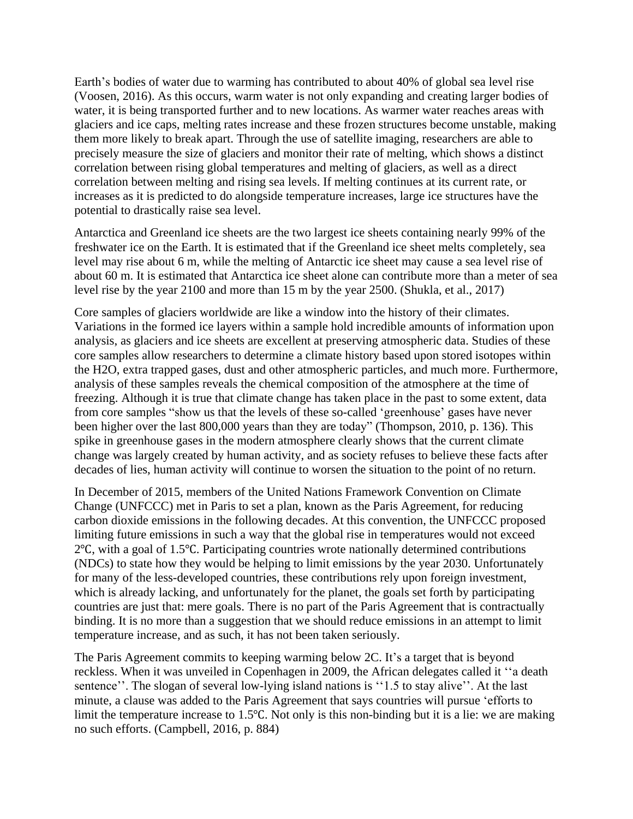Earth's bodies of water due to warming has contributed to about 40% of global sea level rise (Voosen, 2016). As this occurs, warm water is not only expanding and creating larger bodies of water, it is being transported further and to new locations. As warmer water reaches areas with glaciers and ice caps, melting rates increase and these frozen structures become unstable, making them more likely to break apart. Through the use of satellite imaging, researchers are able to precisely measure the size of glaciers and monitor their rate of melting, which shows a distinct correlation between rising global temperatures and melting of glaciers, as well as a direct correlation between melting and rising sea levels. If melting continues at its current rate, or increases as it is predicted to do alongside temperature increases, large ice structures have the potential to drastically raise sea level.

Antarctica and Greenland ice sheets are the two largest ice sheets containing nearly 99% of the freshwater ice on the Earth. It is estimated that if the Greenland ice sheet melts completely, sea level may rise about 6 m, while the melting of Antarctic ice sheet may cause a sea level rise of about 60 m. It is estimated that Antarctica ice sheet alone can contribute more than a meter of sea level rise by the year 2100 and more than 15 m by the year 2500. (Shukla, et al., 2017)

Core samples of glaciers worldwide are like a window into the history of their climates. Variations in the formed ice layers within a sample hold incredible amounts of information upon analysis, as glaciers and ice sheets are excellent at preserving atmospheric data. Studies of these core samples allow researchers to determine a climate history based upon stored isotopes within the H2O, extra trapped gases, dust and other atmospheric particles, and much more. Furthermore, analysis of these samples reveals the chemical composition of the atmosphere at the time of freezing. Although it is true that climate change has taken place in the past to some extent, data from core samples "show us that the levels of these so-called 'greenhouse' gases have never been higher over the last 800,000 years than they are today" (Thompson, 2010, p. 136). This spike in greenhouse gases in the modern atmosphere clearly shows that the current climate change was largely created by human activity, and as society refuses to believe these facts after decades of lies, human activity will continue to worsen the situation to the point of no return.

In December of 2015, members of the United Nations Framework Convention on Climate Change (UNFCCC) met in Paris to set a plan, known as the Paris Agreement, for reducing carbon dioxide emissions in the following decades. At this convention, the UNFCCC proposed limiting future emissions in such a way that the global rise in temperatures would not exceed 2℃, with a goal of 1.5℃. Participating countries wrote nationally determined contributions (NDCs) to state how they would be helping to limit emissions by the year 2030. Unfortunately for many of the less-developed countries, these contributions rely upon foreign investment, which is already lacking, and unfortunately for the planet, the goals set forth by participating countries are just that: mere goals. There is no part of the Paris Agreement that is contractually binding. It is no more than a suggestion that we should reduce emissions in an attempt to limit temperature increase, and as such, it has not been taken seriously.

The Paris Agreement commits to keeping warming below 2C. It's a target that is beyond reckless. When it was unveiled in Copenhagen in 2009, the African delegates called it ''a death sentence''. The slogan of several low-lying island nations is "1.5 to stay alive". At the last minute, a clause was added to the Paris Agreement that says countries will pursue 'efforts to limit the temperature increase to 1.5℃. Not only is this non-binding but it is a lie: we are making no such efforts. (Campbell, 2016, p. 884)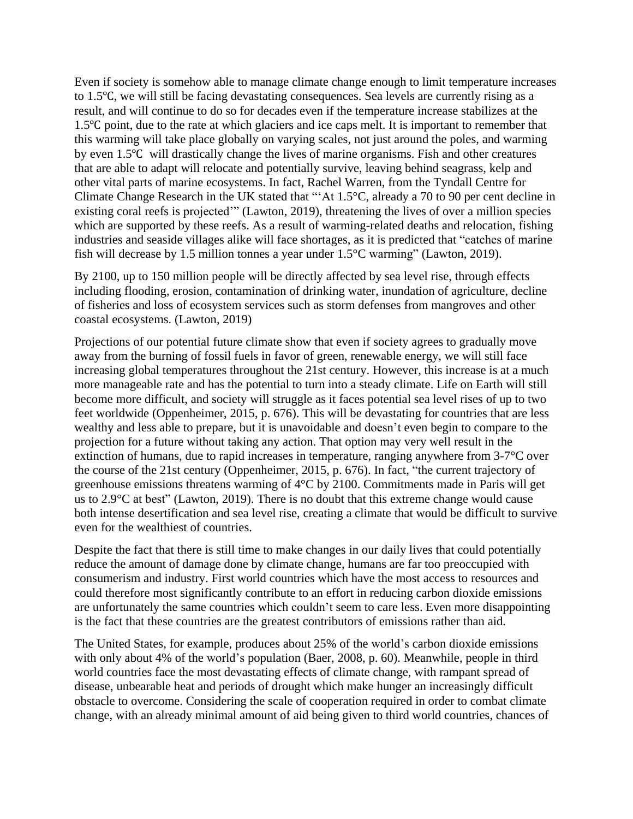Even if society is somehow able to manage climate change enough to limit temperature increases to 1.5℃, we will still be facing devastating consequences. Sea levels are currently rising as a result, and will continue to do so for decades even if the temperature increase stabilizes at the 1.5℃ point, due to the rate at which glaciers and ice caps melt. It is important to remember that this warming will take place globally on varying scales, not just around the poles, and warming by even 1.5℃ will drastically change the lives of marine organisms. Fish and other creatures that are able to adapt will relocate and potentially survive, leaving behind seagrass, kelp and other vital parts of marine ecosystems. In fact, Rachel Warren, from the Tyndall Centre for Climate Change Research in the UK stated that "'At 1.5°C, already a 70 to 90 per cent decline in existing coral reefs is projected'" (Lawton, 2019), threatening the lives of over a million species which are supported by these reefs. As a result of warming-related deaths and relocation, fishing industries and seaside villages alike will face shortages, as it is predicted that "catches of marine fish will decrease by 1.5 million tonnes a year under 1.5°C warming" (Lawton, 2019).

By 2100, up to 150 million people will be directly affected by sea level rise, through effects including flooding, erosion, contamination of drinking water, inundation of agriculture, decline of fisheries and loss of ecosystem services such as storm defenses from mangroves and other coastal ecosystems. (Lawton, 2019)

Projections of our potential future climate show that even if society agrees to gradually move away from the burning of fossil fuels in favor of green, renewable energy, we will still face increasing global temperatures throughout the 21st century. However, this increase is at a much more manageable rate and has the potential to turn into a steady climate. Life on Earth will still become more difficult, and society will struggle as it faces potential sea level rises of up to two feet worldwide (Oppenheimer, 2015, p. 676). This will be devastating for countries that are less wealthy and less able to prepare, but it is unavoidable and doesn't even begin to compare to the projection for a future without taking any action. That option may very well result in the extinction of humans, due to rapid increases in temperature, ranging anywhere from 3-7°C over the course of the 21st century (Oppenheimer, 2015, p. 676). In fact, "the current trajectory of greenhouse emissions threatens warming of 4°C by 2100. Commitments made in Paris will get us to 2.9°C at best" (Lawton, 2019). There is no doubt that this extreme change would cause both intense desertification and sea level rise, creating a climate that would be difficult to survive even for the wealthiest of countries.

Despite the fact that there is still time to make changes in our daily lives that could potentially reduce the amount of damage done by climate change, humans are far too preoccupied with consumerism and industry. First world countries which have the most access to resources and could therefore most significantly contribute to an effort in reducing carbon dioxide emissions are unfortunately the same countries which couldn't seem to care less. Even more disappointing is the fact that these countries are the greatest contributors of emissions rather than aid.

The United States, for example, produces about 25% of the world's carbon dioxide emissions with only about 4% of the world's population (Baer, 2008, p. 60). Meanwhile, people in third world countries face the most devastating effects of climate change, with rampant spread of disease, unbearable heat and periods of drought which make hunger an increasingly difficult obstacle to overcome. Considering the scale of cooperation required in order to combat climate change, with an already minimal amount of aid being given to third world countries, chances of